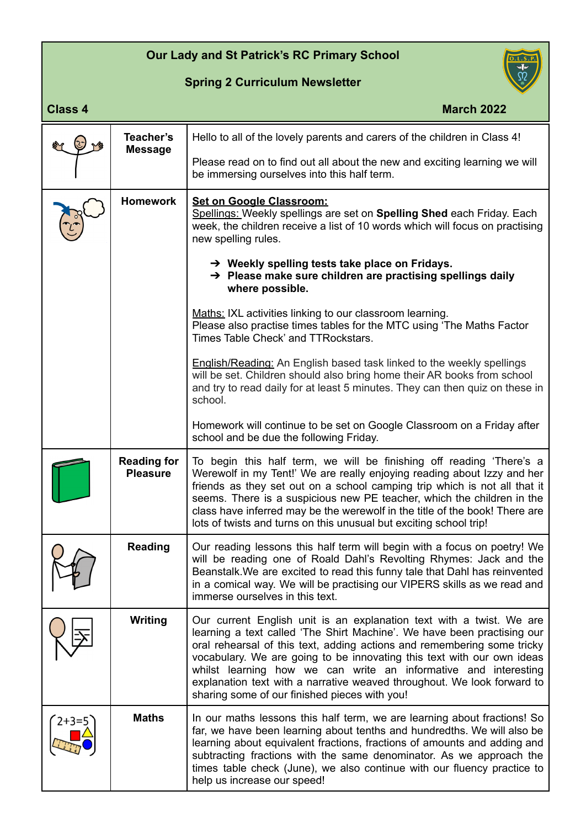## **Our Lady and St Patrick's RC Primary School**

## **Spring 2 Curriculum Newsletter**



| <b>Class 4</b> |                                       | <b>March 2022</b>                                                                                                                                                                                                                                                                                                                                                                                                                                                                                   |
|----------------|---------------------------------------|-----------------------------------------------------------------------------------------------------------------------------------------------------------------------------------------------------------------------------------------------------------------------------------------------------------------------------------------------------------------------------------------------------------------------------------------------------------------------------------------------------|
|                | Teacher's                             | Hello to all of the lovely parents and carers of the children in Class 4!                                                                                                                                                                                                                                                                                                                                                                                                                           |
|                | <b>Message</b>                        | Please read on to find out all about the new and exciting learning we will<br>be immersing ourselves into this half term.                                                                                                                                                                                                                                                                                                                                                                           |
|                | <b>Homework</b>                       | <b>Set on Google Classroom:</b><br>Spellings: Weekly spellings are set on Spelling Shed each Friday. Each<br>week, the children receive a list of 10 words which will focus on practising<br>new spelling rules.                                                                                                                                                                                                                                                                                    |
|                |                                       | $\rightarrow$ Weekly spelling tests take place on Fridays.<br>$\rightarrow$ Please make sure children are practising spellings daily<br>where possible.                                                                                                                                                                                                                                                                                                                                             |
|                |                                       | Maths: IXL activities linking to our classroom learning.<br>Please also practise times tables for the MTC using 'The Maths Factor<br>Times Table Check' and TTRockstars.                                                                                                                                                                                                                                                                                                                            |
|                |                                       | <b>English/Reading:</b> An English based task linked to the weekly spellings<br>will be set. Children should also bring home their AR books from school<br>and try to read daily for at least 5 minutes. They can then quiz on these in<br>school.                                                                                                                                                                                                                                                  |
|                |                                       | Homework will continue to be set on Google Classroom on a Friday after<br>school and be due the following Friday.                                                                                                                                                                                                                                                                                                                                                                                   |
|                | <b>Reading for</b><br><b>Pleasure</b> | To begin this half term, we will be finishing off reading 'There's a<br>Werewolf in my Tent!' We are really enjoying reading about Izzy and her<br>friends as they set out on a school camping trip which is not all that it<br>seems. There is a suspicious new PE teacher, which the children in the<br>class have inferred may be the werewolf in the title of the book! There are<br>lots of twists and turns on this unusual but exciting school trip!                                         |
|                | <b>Reading</b>                        | Our reading lessons this half term will begin with a focus on poetry! We<br>will be reading one of Roald Dahl's Revolting Rhymes: Jack and the<br>Beanstalk. We are excited to read this funny tale that Dahl has reinvented<br>in a comical way. We will be practising our VIPERS skills as we read and<br>immerse ourselves in this text.                                                                                                                                                         |
|                | <b>Writing</b>                        | Our current English unit is an explanation text with a twist. We are<br>learning a text called 'The Shirt Machine'. We have been practising our<br>oral rehearsal of this text, adding actions and remembering some tricky<br>vocabulary. We are going to be innovating this text with our own ideas<br>whilst learning how we can write an informative and interesting<br>explanation text with a narrative weaved throughout. We look forward to<br>sharing some of our finished pieces with you! |
| $2+3=5$        | <b>Maths</b>                          | In our maths lessons this half term, we are learning about fractions! So<br>far, we have been learning about tenths and hundredths. We will also be<br>learning about equivalent fractions, fractions of amounts and adding and<br>subtracting fractions with the same denominator. As we approach the<br>times table check (June), we also continue with our fluency practice to<br>help us increase our speed!                                                                                    |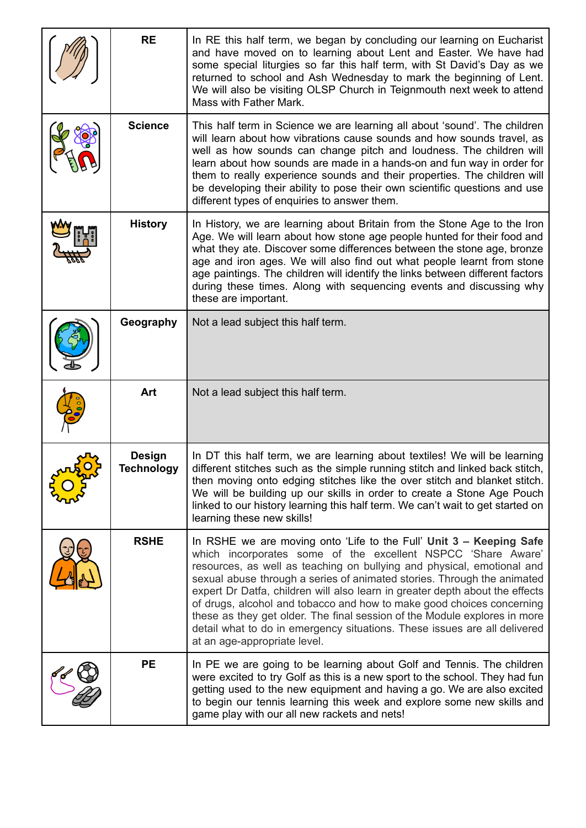| <b>RE</b>                          | In RE this half term, we began by concluding our learning on Eucharist<br>and have moved on to learning about Lent and Easter. We have had<br>some special liturgies so far this half term, with St David's Day as we<br>returned to school and Ash Wednesday to mark the beginning of Lent.<br>We will also be visiting OLSP Church in Teignmouth next week to attend<br>Mass with Father Mark.                                                                                                                                                                                                                                            |
|------------------------------------|---------------------------------------------------------------------------------------------------------------------------------------------------------------------------------------------------------------------------------------------------------------------------------------------------------------------------------------------------------------------------------------------------------------------------------------------------------------------------------------------------------------------------------------------------------------------------------------------------------------------------------------------|
| <b>Science</b>                     | This half term in Science we are learning all about 'sound'. The children<br>will learn about how vibrations cause sounds and how sounds travel, as<br>well as how sounds can change pitch and loudness. The children will<br>learn about how sounds are made in a hands-on and fun way in order for<br>them to really experience sounds and their properties. The children will<br>be developing their ability to pose their own scientific questions and use<br>different types of enquiries to answer them.                                                                                                                              |
| <b>History</b>                     | In History, we are learning about Britain from the Stone Age to the Iron<br>Age. We will learn about how stone age people hunted for their food and<br>what they ate. Discover some differences between the stone age, bronze<br>age and iron ages. We will also find out what people learnt from stone<br>age paintings. The children will identify the links between different factors<br>during these times. Along with sequencing events and discussing why<br>these are important.                                                                                                                                                     |
| Geography                          | Not a lead subject this half term.                                                                                                                                                                                                                                                                                                                                                                                                                                                                                                                                                                                                          |
| Art                                | Not a lead subject this half term.                                                                                                                                                                                                                                                                                                                                                                                                                                                                                                                                                                                                          |
| <b>Design</b><br><b>Technology</b> | In DT this half term, we are learning about textiles! We will be learning<br>different stitches such as the simple running stitch and linked back stitch,<br>then moving onto edging stitches like the over stitch and blanket stitch.<br>We will be building up our skills in order to create a Stone Age Pouch<br>linked to our history learning this half term. We can't wait to get started on<br>learning these new skills!                                                                                                                                                                                                            |
| <b>RSHE</b>                        | In RSHE we are moving onto 'Life to the Full' Unit 3 - Keeping Safe<br>which incorporates some of the excellent NSPCC 'Share Aware'<br>resources, as well as teaching on bullying and physical, emotional and<br>sexual abuse through a series of animated stories. Through the animated<br>expert Dr Datfa, children will also learn in greater depth about the effects<br>of drugs, alcohol and tobacco and how to make good choices concerning<br>these as they get older. The final session of the Module explores in more<br>detail what to do in emergency situations. These issues are all delivered<br>at an age-appropriate level. |
| <b>PE</b>                          | In PE we are going to be learning about Golf and Tennis. The children<br>were excited to try Golf as this is a new sport to the school. They had fun<br>getting used to the new equipment and having a go. We are also excited<br>to begin our tennis learning this week and explore some new skills and<br>game play with our all new rackets and nets!                                                                                                                                                                                                                                                                                    |